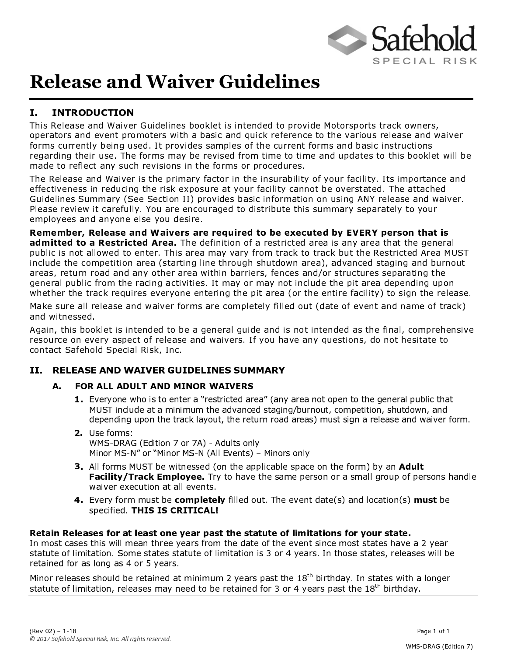

# **Release and Waiver Guidelines**

### I. INTRODUCTION

This Release and Waiver Guidelines booklet is intended to provide Motorsports track owners, operators and event promoters with a basic and quick reference to the various release and waiver forms currently being used. It provides samples of the current forms and basic instructions regarding their use. The forms may be revised from time to time and updates to this booklet will be made to reflect any such revisions in the forms or procedures.

The Release and Waiver is the primary factor in the insurability of your facility. Its importance and effectiveness in reducing the risk exposure at your facility cannot be overstated. The attached Guidelines Summary (See Section II) provides basic information on using ANY release and waiver. Please review it carefully. You are encouraged to distribute this summary separately to your employees and anyone else you desire.

Remember, Release and Waivers are required to be executed by EVERY person that is **admitted to a Restricted Area.** The definition of a restricted area is any area that the general public is not allowed to enter. This area may vary from track to track but the Restricted Area MUST include the competition area (starting line through shutdown area), advanced staging and burnout areas, return road and any other area within barriers, fences and/or structures separating the general public from the racing activities. It may or may not include the pit area depending upon whether the track requires everyone entering the pit area (or the entire facility) to sign the release.

Make sure all release and waiver forms are completely filled out (date of event and name of track) and witnessed.

Again, this booklet is intended to be a general guide and is not intended as the final, comprehensive resource on every aspect of release and waivers. If you have any questions, do not hesitate to contact Safehold Special Risk, Inc.

#### II. RELEASE AND WAIVER GUIDELINES SUMMARY

#### A. FOR ALL ADULT AND MINOR WAIVERS

- Let  $M$  be a set of the set of the set of the set of the set of the set of the set of the set of the set of the  $M$  set of the set of the set of the set of the set of the set of the set of the set of the set of the set of MUST include at a minimum the advanced staging/burnout, competition, shutdown, and depending upon the track layout, the return road areas) must sign a release and waiver form.
- $\blacksquare$  and  $\blacksquare$  and  $\blacksquare$ WMS-DRAG (Edition 7 or 7A) - Adults only Minor MS-N" or "Minor MS-N (All Events) - Minors only
- £ <sup>d</sup> <sup>G</sup> <sup>G</sup> [ <sup>Q</sup> <sup>M</sup> <sup>Y</sup> <sup>D</sup> <sup>U</sup> <sup>a</sup> <sup>A</sup> <sup>P</sup> <sup>F</sup> <sup>W</sup> <sup>C</sup> <sup>S</sup> <sup>I</sup> <sup>F</sup> <sup>D</sup> <sup>D</sup> <sup>F</sup> <sup>J</sup> <sup>b</sup> <sup>Q</sup> <sup>I</sup> <sup>S</sup> <sup>B</sup> <sup>F</sup> <sup>H</sup> <sup>T</sup> <sup>T</sup> <sup>G</sup> <sup>C</sup> <sup>V</sup> <sup>H</sup> <sup>P</sup> <sup>G</sup> <sup>F</sup> <sup>D</sup> <sup>T</sup> <sup>H</sup> <sup>V</sup> <sup>F</sup> <sup>Q</sup> <sup>I</sup> <sup>S</sup> <sup>B</sup> <sup>F</sup> [ <sup>Q</sup> <sup>M</sup> <sup>Y</sup> <sup>c</sup> <sup>P</sup> \ <sup>H</sup> <sup>I</sup> <sup>r</sup> <sup>w</sup> <sup>n</sup> <sup>x</sup> Facility/Track Employee. Try to have the same person or a small group of persons handle waiver execution at all events.
- 4. Every form must be completely filled out. The event date(s) and location(s) must be specified. THIS IS CRITICAL!

#### Retain Releases for at least one year past the statute of limitations for your state.

In most cases this will mean three years from the date of the event since most states have a 2 year statute of limitation. Some states statute of limitation is 3 or 4 years. In those states, releases will be retained for as long as 4 or 5 years.

Minor releases should be retained at minimum 2 years past the  $18<sup>th</sup>$  birthday. In states with a longer statute of limitation, releases may need to be retained for 3 or 4 years past the  $18<sup>th</sup>$  birthday.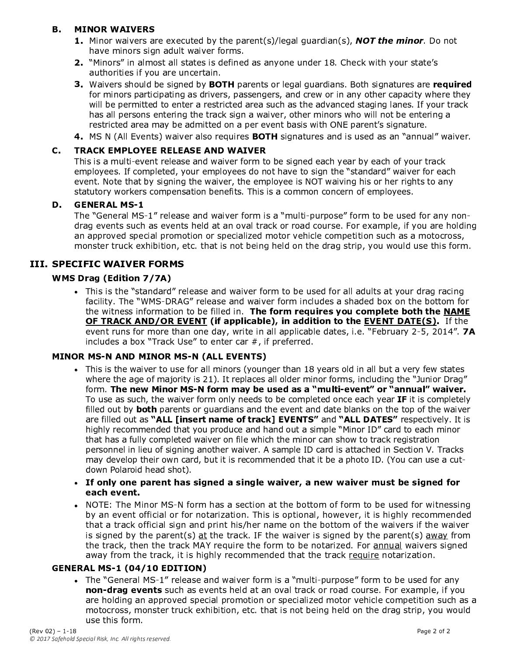#### **B. MINOR WAIVERS**

- $U = \frac{1}{2} \int_{0}^{1} \frac{1}{2} \left( \frac{1}{2} \right) \frac{1}{2} \left( \frac{1}{2} \right) \frac{1}{2} \left( \frac{1}{2} \right) \frac{1}{2} \left( \frac{1}{2} \right) \frac{1}{2} \left( \frac{1}{2} \right) \frac{1}{2} \left( \frac{1}{2} \right) \frac{1}{2} \left( \frac{1}{2} \right) \frac{1}{2} \left( \frac{1}{2} \right) \frac{1}{2} \left( \frac{1}{2} \right) \frac{1}{2} \left( \frac{1}{2} \right) \frac{$ have minors sign adult waiver forms.
- $\blacksquare$  . We see that the distribution is a set of the distribution of the distribution of  $\blacksquare$  . We are the distribution of  $\blacksquare$ authorities if you are uncertain.
- £ <sup>K</sup> <sup>H</sup> <sup>C</sup> <sup>L</sup> <sup>F</sup> <sup>M</sup> <sup>D</sup> <sup>D</sup> <sup>B</sup> <sup>Q</sup> <sup>O</sup> <sup>G</sup> <sup>J</sup> <sup>P</sup> <sup>F</sup> <sup>D</sup> <sup>C</sup> ] <sup>I</sup> <sup>F</sup> <sup>J</sup> <sup>P</sup> \ <sup>³</sup> § <sup>T</sup> <sup>H</sup> <sup>M</sup> <sup>F</sup> <sup>I</sup> <sup>S</sup> <sup>D</sup> <sup>Q</sup> <sup>M</sup> <sup>G</sup> <sup>F</sup> ] <sup>H</sup> <sup>G</sup> ] <sup>O</sup> <sup>H</sup> <sup>M</sup> <sup>J</sup> <sup>C</sup> <sup>H</sup> <sup>I</sup> <sup>D</sup> ^ <sup>Á</sup> <sup>Q</sup> <sup>S</sup> <sup>B</sup> <sup>D</sup> <sup>C</sup> ] <sup>I</sup> <sup>H</sup> <sup>S</sup> <sup>O</sup> <sup>M</sup> <sup>F</sup> <sup>D</sup> <sup>H</sup> <sup>M</sup> <sup>F</sup> <sup>l</sup> <sup>i</sup> <sup>v</sup> <sup>w</sup> <sup>t</sup> <sup>l</sup> <sup>i</sup> <sup>r</sup> for minors participating as drivers, passengers, and crew or in any other capacity where they will be permitted to enter a restricted area such as the advanced staging lanes. If your track has all persons entering the track sign a waiver, other minors who will not be entering a restricted area may be admitted on a per event basis with ONE parent's signature.
- 4. MS N (All Events) waiver also requires BOTH signatures and is used as an "annual" waiver.

#### C. TRACK EMPLOYEE RELEASE AND WAIVER

This is a multi-event release and waiver form to be signed each year by each of your track employees. If completed, your employees do not have to sign the "standard" waiver for each event. Note that by signing the waiver, the employee is NOT waiving his or her rights to any statutory workers compensation benefits. This is a common concern of employees.

#### **D.** GENERAL MS-1

The "General MS-1" release and waiver form is a "multi-purpose" form to be used for any nondrag events such as events held at an oval track or road course. For example, if you are holding an approved special promotion or specialized motor vehicle competition such as a motocross, monster truck exhibition, etc. that is not being held on the drag strip, you would use this form.

#### **III. SPECIFIC WAIVER FORMS**

#### WMS Drag (Edition 7/7A)

• This is the "standard" release and waiver form to be used for all adults at your drag racin facility. The "WMS-DRAG" release and waiver form includes a shaded box on the bottom for the witness information to be filled in. The form requires you complete both the NAME OF TRACK AND/OR EVENT (if applicable), in addition to the EVENT DATE(S). If the event runs for more than one day, write in all applicable dates, i.e. "February 2-5, 2014". 7A includes a box "Track Use" to enter car  $#$ , if preferred.

#### MINOR MS-N AND MINOR MS-N (ALL EVENTS)

- $\bullet$  This is the waiver to use for all minors (younger than 18 years old in all but a very few state where the age of majority is 21). It replaces all older minor forms, including the "Junior Drag" form. The new Minor MS-N form may be used as a "multi-event" or "annual" waiver. To use as such, the waiver form only needs to be completed once each year IF it is completely filled out by both parents or quardians and the event and date blanks on the top of the waiver are filled out as "ALL [insert name of track] EVENTS" and "ALL DATES" respectively. It is highly recommended that you produce and hand out a simple "Minor ID" card to each minor that has a fully completed waiver on file which the minor can show to track registration personnel in lieu of signing another waiver. A sample ID card is attached in Section V. Tracks may develop their own card, but it is recommended that it be a photo ID. (You can use a cutdown Polaroid head shot).
- $\bullet~$  If only one parent has signed a single waiver, a new waiver must be signed fo each event.
- NOTE: The Minor MS-N form has a section at the bottom of form to be used for witnessin by an event official or for notarization. This is optional, however, it is highly recommended that a track official sign and print his/her name on the bottom of the waivers if the waiver is signed by the parent(s) at the track. IF the waiver is signed by the parent(s) away from the track, then the track MAY require the form to be notarized. For annual waivers signed away from the track, it is highly recommended that the track require notarization.

#### <sup>Å</sup> } } <sup>h</sup> <sup>Æ</sup> <sup>Ì</sup> <sup>Ù</sup> ¦ ¤ <sup>Ù</sup> } <sup>Î</sup>

• The "General MS-1" release and waiver form is a "multi-purpose" form to be used for an **non-drag events** such as events held at an oval track or road course. For example, if you are holding an approved special promotion or specialized motor vehicle competition such as a motocross, monster truck exhibition, etc. that is not being held on the drag strip, you would use this form.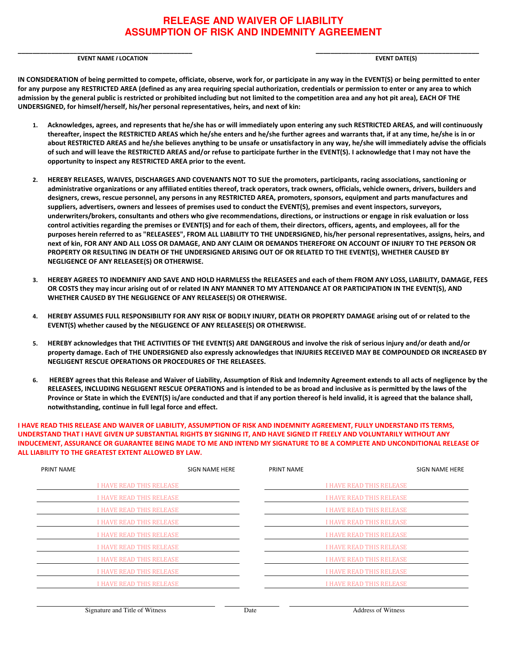#### **RELEASE AND WAIVER OF LIABILITY ASSUMPTION OF RISK AND INDEMNITY AGREEMENT**

EVENT NAME I LOCATION EVENT DATE(S)

\_\_\_\_\_\_\_\_\_\_\_\_\_\_\_\_\_\_\_\_\_\_\_\_\_\_\_\_\_\_\_\_\_\_\_\_\_\_\_\_\_\_\_\_\_\_\_ \_\_\_\_\_\_\_\_\_\_\_\_\_\_\_\_\_\_\_\_\_\_\_\_\_\_\_\_\_\_\_\_\_\_\_\_\_\_\_\_\_\_\_\_

IN CONSIDERATION of being permitted to compete, officiate, observe, work for, or participate in any way in the EVENT(S) or being permitted to enter for any purpose any RESTRICTED AREA (defined as any area requiring special authorization, credentials or permission to enter or any area to which admission by the general public is restricted or prohibited including but not limited to the competition area and any hot pit area), EACH OF THE UNDERSIGNED, for himself/herself, his/her personal representatives, heirs, and next of kin:

- 1. Acknowledges, agrees, and represents that he/she has or will immediately upon entering any such RESTRICTED AREAS, and will continuously thereafter, inspect the RESTRICTED AREAS which he/she enters and he/she further agrees and warrants that, if at any time, he/she is in or about RESTRICTED AREAS and he/she believes anything to be unsafe or unsatisfactory in any way, he/she will immediately advise the officials of such and will leave the RESTRICTED AREAS and/or refuse to participate further in the EVENT(S). I acknowledge that I may not have the opportunity to inspect any RESTRICTED AREA prior to the event.
- 2. HEREBY RELEASES, WAIVES, DISCHARGES AND COVENANTS NOT TO SUE the promoters, participants, racing associations, sanctioning or administrative organizations or any affiliated entities thereof, track operators, track owners, officials, vehicle owners, drivers, builders and designers, crews, rescue personnel, any persons in any RESTRICTED AREA, promoters, sponsors, equipment and parts manufactures and suppliers, advertisers, owners and lessees of premises used to conduct the EVENT(S), premises and event inspectors, surveyors, underwriters/brokers, consultants and others who give recommendations, directions, or instructions or engage in risk evaluation or loss control activities regarding the premises or EVENT(S) and for each of them, their directors, officers, agents, and employees, all for the purposes herein referred to as "RELEASEES", FROM ALL LIABILITY TO THE UNDERSIGNED, his/her personal representatives, assigns, heirs, and next of kin, FOR ANY AND ALL LOSS OR DAMAGE, AND ANY CLAIM OR DEMANDS THEREFORE ON ACCOUNT OF INJURY TO THE PERSON OR PROPERTY OR RESULTING IN DEATH OF THE UNDERSIGNED ARISING OUT OF OR RELATED TO THE EVENT(S), WHETHER CAUSED BY NEGLIGENCE OF ANY RELEASEE(S) OR OTHERWISE.
- 3. HEREBY AGREES TO INDEMNIFY AND SAVE AND HOLD HARMLESS the RELEASEES and each of them FROM ANY LOSS, LIABILITY, DAMAGE, FEES OR COSTS they may incur arising out of or related IN ANY MANNER TO MY ATTENDANCE AT OR PARTICIPATION IN THE EVENT(S), AND WHETHER CAUSED BY THE NEGLIGENCE OF ANY RELEASEE(S) OR OTHERWISE.
- 4. HEREBY ASSUMES FULL RESPONSIBILITY FOR ANY RISK OF BODILY INJURY, DEATH OR PROPERTY DAMAGE arising out of or related to the EVENT(S) whether caused by the NEGLIGENCE OF ANY RELEASEE(S) OR OTHERWISE.
- 5. HEREBY acknowledges that THE ACTIVITIES OF THE EVENT(S) ARE DANGEROUS and involve the risk of serious injury and/or death and/or property damage. Each of THE UNDERSIGNED also expressly acknowledges that INJURIES RECEIVED MAY BE COMPOUNDED OR INCREASED BY NEGLIGENT RESCUE OPERATIONS OR PROCEDURES OF THE RELEASEES.
- 6. HEREBY agrees that this Release and Waiver of Liability, Assumption of Risk and Indemnity Agreement extends to all acts of negligence by the RELEASEES, INCLUDING NEGLIGENT RESCUE OPERATIONS and is intended to be as broad and inclusive as is permitted by the laws of the Province or State in which the EVENT(S) is/are conducted and that if any portion thereof is held invalid, it is agreed that the balance shall, notwithstanding, continue in full legal force and effect.

I HAVE READ THIS RELEASE AND WAIVER OF LIABILITY, ASSUMPTION OF RISK AND INDEMNITY AGREEMENT, FULLY UNDERSTAND ITS TERMS, UNDERSTAND THAT I HAVE GIVEN UP SUBSTANTIAL RIGHTS BY SIGNING IT, AND HAVE SIGNED IT FREELY AND VOLUNTARILY WITHOUT ANY INDUCEMENT, ASSURANCE OR GUARANTEE BEING MADE TO ME AND INTEND MY SIGNATURE TO BE A COMPLETE AND UNCONDITIONAL RELEASE OF ALL LIABILITY TO THE GREATEST EXTENT ALLOWED BY LAW.

| <b>PRINT NAME</b> |                                 | SIGN NAME HERE | PRINT NAME |                                 | SIGN NAME HERE |
|-------------------|---------------------------------|----------------|------------|---------------------------------|----------------|
|                   | <b>I HAVE READ THIS RELEASE</b> |                |            | <b>I HAVE READ THIS RELEASE</b> |                |
|                   | <b>I HAVE READ THIS RELEASE</b> |                |            | <b>I HAVE READ THIS RELEASE</b> |                |
|                   | <b>I HAVE READ THIS RELEASE</b> |                |            | <b>I HAVE READ THIS RELEASE</b> |                |
|                   | <b>I HAVE READ THIS RELEASE</b> |                |            | <b>I HAVE READ THIS RELEASE</b> |                |
|                   | I HAVE READ THIS RELEASE        |                |            | <b>I HAVE READ THIS RELEASE</b> |                |
|                   | <b>I HAVE READ THIS RELEASE</b> |                |            | <b>I HAVE READ THIS RELEASE</b> |                |
|                   | <b>I HAVE READ THIS RELEASE</b> |                |            | <b>I HAVE READ THIS RELEASE</b> |                |
|                   | <b>I HAVE READ THIS RELEASE</b> |                |            | <b>I HAVE READ THIS RELEASE</b> |                |
|                   | <b>I HAVE READ THIS RELEASE</b> |                |            | <b>I HAVE READ THIS RELEASE</b> |                |
|                   |                                 |                |            |                                 |                |